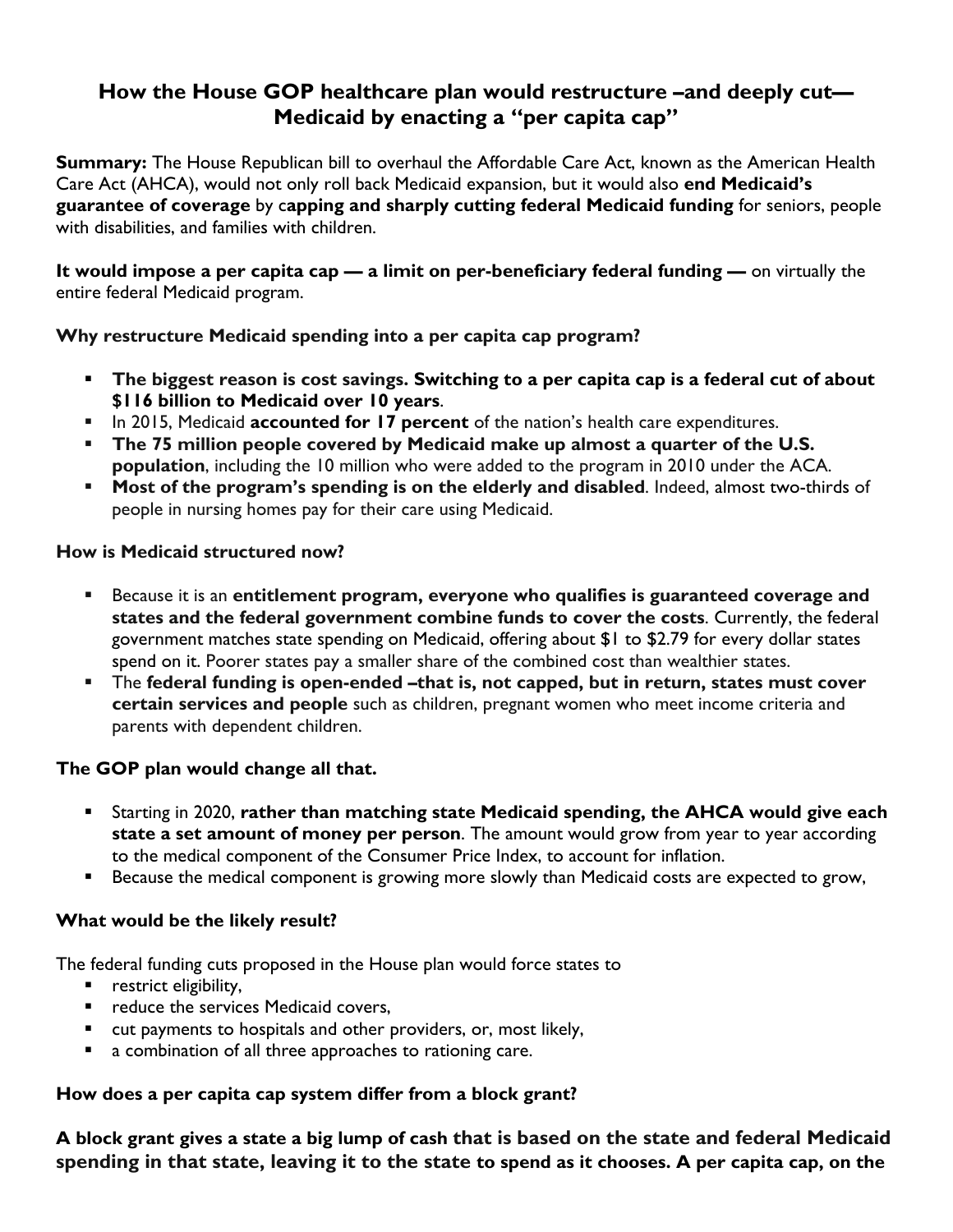# **How the House GOP healthcare plan would restructure –and deeply cut— Medicaid by enacting a "per capita cap"**

**Summary:** The House Republican bill to overhaul the Affordable Care Act, known as the American Health Care Act (AHCA), would not only roll back Medicaid expansion, but it would also **end Medicaid's guarantee of coverage** by c**apping and sharply cutting federal Medicaid funding** for seniors, people with disabilities, and families with children.

**It would impose a per capita cap — a limit on per-beneficiary federal funding —** on virtually the entire federal Medicaid program.

## **Why restructure Medicaid spending into a per capita cap program?**

- **The biggest reason is cost savings. Switching to a per capita cap is a federal cut of about \$116 billion to Medicaid over 10 years**.
- In 2015, Medicaid **[accounted for 17 percent](https://www.cms.gov/research-statistics-data-and-systems/statistics-trends-and-reports/nationalhealthexpenddata/nhe-fact-sheet.html)** of the nation's health care expenditures.
- **The 75 million people covered by Medicaid make up almost a quarter of the U.S. population**, including the 10 million who were added to the program in 2010 under the ACA.
- **Most of the program's spending is on the elderly and disabled.** Indeed, [almost two-thirds](https://www.cdc.gov/nchs/data/series/sr_03/sr03_038.pdf) of people in nursing homes pay for their care using Medicaid.

## **How is Medicaid structured now?**

- Because it is an **entitlement program, everyone who qualifies is guaranteed coverage and states and the federal government combine funds to cover the costs**. Currently, the federal government matches state spending on Medicaid, offering about \$1 to \$2.79 for every dollar states spend on it. Poorer states pay a smaller share of the combined cost than wealthier states.
- The **federal funding is open-ended –that is, not capped, but in return, states must cover certain services and people** such as children, pregnant women who meet income criteria and parents with dependent children.

#### **The GOP plan would change all that.**

- Starting in 2020, **rather than matching state Medicaid spending, the AHCA would give each state a set amount of money per person**. The amount would grow from year to year according to the medical component of the Consumer Price Index, to account for inflation.
- **Because the medical component is growing more slowly than Medicaid costs are expected to grow,**

#### **What would be the likely result?**

The federal funding cuts proposed in the House plan would force states to

- **•** restrict eligibility,
- **•** reduce the services Medicaid covers,
- cut payments to hospitals and other providers, or, most likely,
- **a** combination of all three approaches to rationing care.

#### **How does a per capita cap system differ from a block grant?**

**A block grant gives a state a big lump of cash that is based on the state and federal Medicaid spending in that state, leaving it to the state to spend as it chooses. A per capita cap, on the**